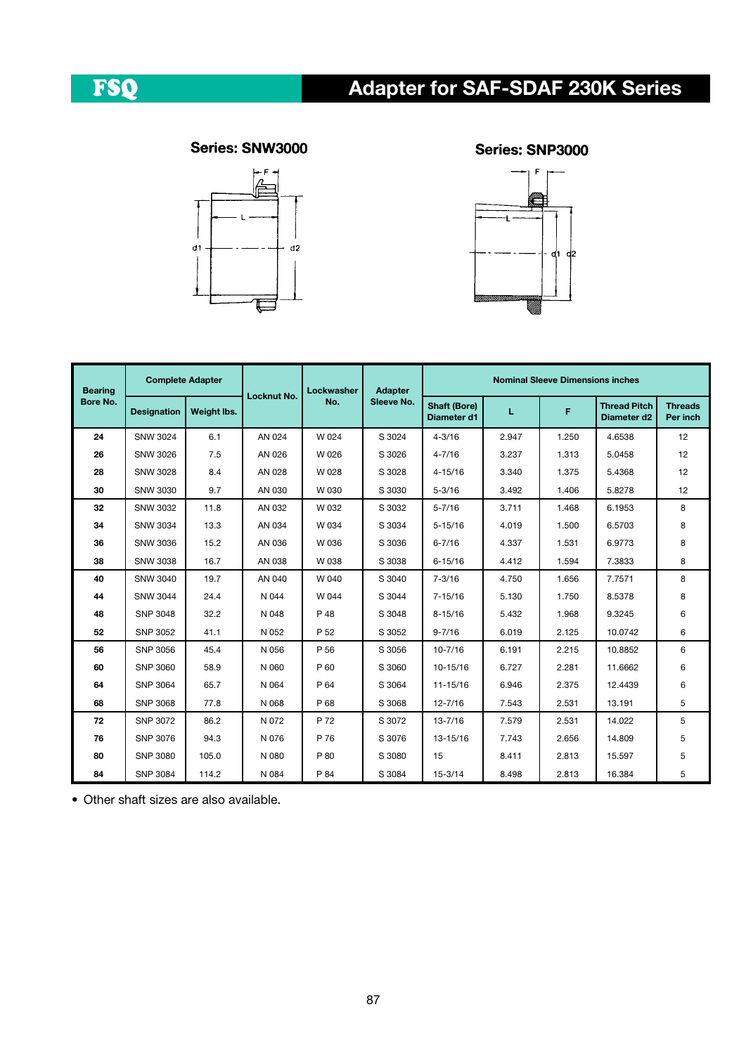# Adapter for SAF-SDAF 230K Series

## FSQ

### Series: SNW3000



#### Series: SNP3000



| <b>Bearing</b><br>Bore No. | <b>Complete Adapter</b> |             |             | Lockwasher | <b>Adapter</b> | <b>Nominal Sleeve Dimensions inches</b> |       |       |                                                |                            |  |
|----------------------------|-------------------------|-------------|-------------|------------|----------------|-----------------------------------------|-------|-------|------------------------------------------------|----------------------------|--|
|                            | <b>Designation</b>      | Weight lbs. | Locknut No. | No.        | Sleeve No.     | <b>Shaft (Bore)</b><br>Diameter d1      | г     | F.    | <b>Thread Pitch</b><br>Diameter d <sub>2</sub> | <b>Threads</b><br>Per inch |  |
| 24                         | SNW 3024                | 6.1         | AN 024      | W 024      | S 3024         | $4 - 3/16$                              | 2.947 | 1.250 | 4.6538                                         | 12                         |  |
| 26                         | SNW 3026                | 7.5         | AN 026      | W 026      | S 3026         | $4 - 7/16$                              | 3.237 | 1.313 | 5.0458                                         | 12                         |  |
| 28                         | <b>SNW 3028</b>         | 8.4         | AN 028      | W 028      | S 3028         | $4 - 15/16$                             | 3.340 | 1.375 | 5.4368                                         | 12                         |  |
| 30                         | <b>SNW 3030</b>         | 9.7         | AN 030      | W 030      | S 3030         | $5 - 3/16$                              | 3.492 | 1.406 | 5.8278                                         | 12                         |  |
| 32                         | <b>SNW 3032</b>         | 11.8        | AN 032      | W 032      | S 3032         | $5 - 7/16$                              | 3.711 | 1.468 | 6.1953                                         | 8                          |  |
| 34                         | <b>SNW 3034</b>         | 13.3        | AN 034      | W 034      | S 3034         | $5 - 15/16$                             | 4.019 | 1.500 | 6.5703                                         | 8                          |  |
| 36                         | <b>SNW 3036</b>         | 15.2        | AN 036      | W 036      | S 3036         | $6 - 7/16$                              | 4.337 | 1.531 | 6.9773                                         | 8                          |  |
| 38                         | <b>SNW 3038</b>         | 16.7        | AN 038      | W 038      | S 3038         | $6 - 15/16$                             | 4.412 | 1.594 | 7.3833                                         | 8                          |  |
| 40                         | <b>SNW 3040</b>         | 19.7        | AN 040      | W 040      | S 3040         | $7 - 3/16$                              | 4.750 | 1.656 | 7.7571                                         | 8                          |  |
| 44                         | <b>SNW 3044</b>         | 24.4        | N 044       | W 044      | S 3044         | $7 - 15/16$                             | 5.130 | 1.750 | 8.5378                                         | 8                          |  |
| 48                         | <b>SNP 3048</b>         | 32.2        | N 048       | P 48       | S 3048         | $8 - 15/16$                             | 5.432 | 1.968 | 9.3245                                         | 6                          |  |
| 52                         | SNP 3052                | 41.1        | N 052       | P 52       | S 3052         | $9 - 7/16$                              | 6.019 | 2.125 | 10.0742                                        | 6                          |  |
| 56                         | SNP 3056                | 45.4        | N 056       | P 56       | S 3056         | $10 - 7/16$                             | 6.191 | 2.215 | 10.8852                                        | 6                          |  |
| 60                         | SNP 3060                | 58.9        | N 060       | P 60       | S 3060         | 10-15/16                                | 6.727 | 2.281 | 11.6662                                        | 6                          |  |
| 64                         | <b>SNP 3064</b>         | 65.7        | N 064       | P 64       | S 3064         | 11-15/16                                | 6.946 | 2.375 | 12.4439                                        | 6                          |  |
| 68                         | <b>SNP 3068</b>         | 77.8        | N 068       | P 68       | S 3068         | $12 - 7/16$                             | 7.543 | 2.531 | 13.191                                         | 5                          |  |
| 72                         | SNP 3072                | 86.2        | N 072       | P 72       | S 3072         | $13 - 7/16$                             | 7.579 | 2.531 | 14.022                                         | 5                          |  |
| 76                         | SNP 3076                | 94.3        | N 076       | P 76       | S 3076         | 13-15/16                                | 7.743 | 2.656 | 14.809                                         | 5                          |  |
| 80                         | SNP 3080                | 105.0       | N 080       | P 80       | S 3080         | 15                                      | 8.411 | 2.813 | 15.597                                         | 5                          |  |
| 84                         | <b>SNP 3084</b>         | 114.2       | N 084       | P 84       | S 3084         | $15 - 3/14$                             | 8.498 | 2.813 | 16.384                                         | 5                          |  |

• Other shaft sizes are also available.